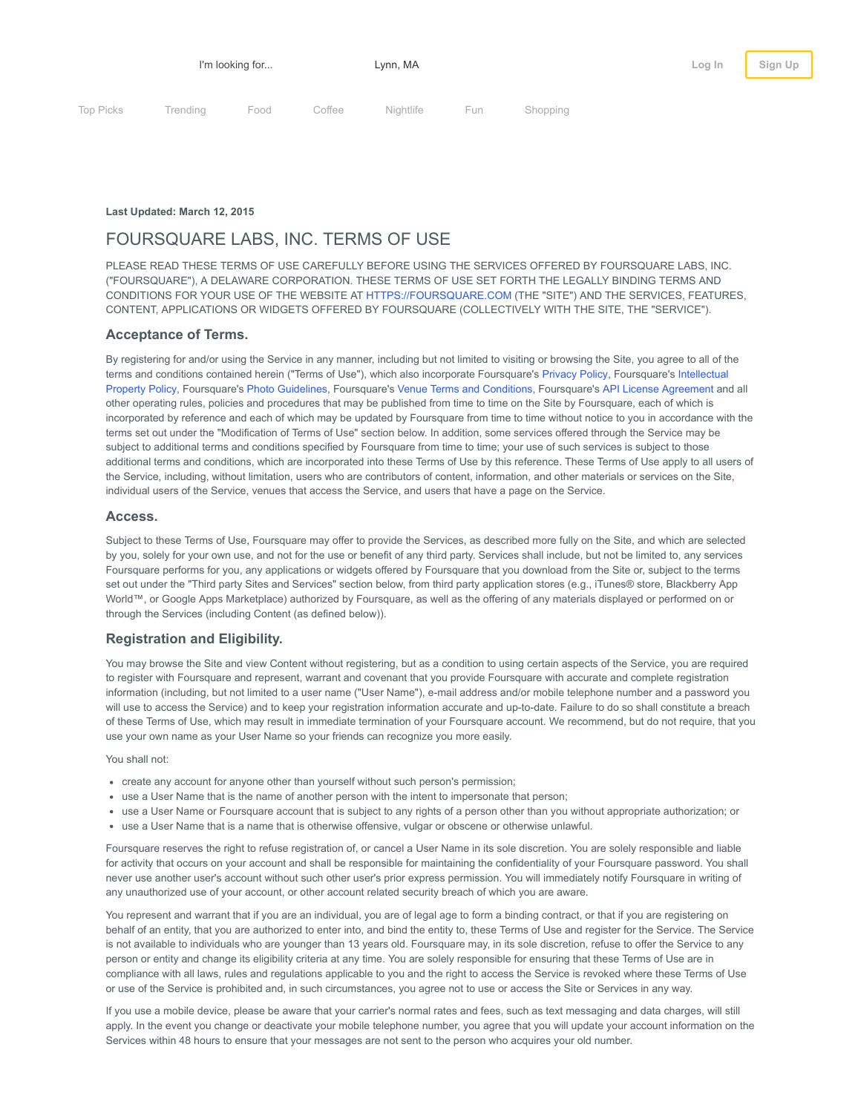I'm looking for... **Lynn, MA** [Log](https://foursquare.com/login?continue=%2Flegal%2Fterms&clicked=true) In [Sign](https://foursquare.com/signup/) Up Sign Up Sign Up Sign Up Sign Up Sign Up Sign Up Sign Up Sign Up Sign Up

Top [Picks](https://foursquare.com/explore?cat=topPicks) [Trending](https://foursquare.com/explore?cat=trending) [Food](https://foursquare.com/explore?cat=food) [Coffee](https://foursquare.com/explore?cat=coffee) [Nightlife](https://foursquare.com/explore?cat=drinks) [Fun](https://foursquare.com/explore?cat=arts) [Shopping](https://foursquare.com/explore?cat=shops)

Last Updated: March 12, 2015

# FOURSQUARE LABS, INC. TERMS OF USE

PLEASE READ THESE TERMS OF USE CAREFULLY BEFORE USING THE SERVICES OFFERED BY FOURSQUARE LABS, INC. ("FOURSQUARE"), A DELAWARE CORPORATION. THESE TERMS OF USE SET FORTH THE LEGALLY BINDING TERMS AND CONDITIONS FOR YOUR USE OF THE WEBSITE AT [HTTPS://FOURSQUARE.COM](https://foursquare.com/) (THE "SITE") AND THE SERVICES, FEATURES, CONTENT, APPLICATIONS OR WIDGETS OFFERED BY FOURSQUARE (COLLECTIVELY WITH THE SITE, THE "SERVICE").

# Acceptance of Terms.

By registering for and/or using the Service in any manner, including but not limited to visiting or browsing the Site, you agree to all of the terms and conditions contained herein ("Terms of Use"), which also incorporate Foursquare's [Privacy](https://foursquare.com/legal/privacy) Policy, Foursquare's Intellectual Property Policy, Foursquare's Photo [Guidelines,](https://foursquare.com/legal/photos) [Foursquare's](https://foursquare.com/legal/ip) Venue Terms and [Conditions,](https://foursquare.com/legal/venueterms) Foursquare's API License [Agreement](https://foursquare.com/legal/api/licenseagreement) and all other operating rules, policies and procedures that may be published from time to time on the Site by Foursquare, each of which is incorporated by reference and each of which may be updated by Foursquare from time to time without notice to you in accordance with the terms set out under the "Modification of Terms of Use" section below. In addition, some services offered through the Service may be subject to additional terms and conditions specified by Foursquare from time to time; your use of such services is subject to those additional terms and conditions, which are incorporated into these Terms of Use by this reference. These Terms of Use apply to all users of the Service, including, without limitation, users who are contributors of content, information, and other materials or services on the Site, individual users of the Service, venues that access the Service, and users that have a page on the Service.

#### Access.

Subject to these Terms of Use, Foursquare may offer to provide the Services, as described more fully on the Site, and which are selected by you, solely for your own use, and not for the use or benefit of any third party. Services shall include, but not be limited to, any services Foursquare performs for you, any applications or widgets offered by Foursquare that you download from the Site or, subject to the terms set out under the "Third party Sites and Services" section below, from third party application stores (e.g., iTunes® store, Blackberry App World™, or Google Apps Marketplace) authorized by Foursquare, as well as the offering of any materials displayed or performed on or through the Services (including Content (as defined below)).

# Registration and Eligibility.

You may browse the Site and view Content without registering, but as a condition to using certain aspects of the Service, you are required to register with Foursquare and represent, warrant and covenant that you provide Foursquare with accurate and complete registration information (including, but not limited to a user name ("User Name"), e-mail address and/or mobile telephone number and a password you will use to access the Service) and to keep your registration information accurate and up-to-date. Failure to do so shall constitute a breach of these Terms of Use, which may result in immediate termination of your Foursquare account. We recommend, but do not require, that you use your own name as your User Name so your friends can recognize you more easily.

You shall not:

- create any account for anyone other than yourself without such person's permission;
- use a User Name that is the name of another person with the intent to impersonate that person;
- use a User Name or Foursquare account that is subject to any rights of a person other than you without appropriate authorization; or
- use a User Name that is a name that is otherwise offensive, vulgar or obscene or otherwise unlawful.

Foursquare reserves the right to refuse registration of, or cancel a User Name in its sole discretion. You are solely responsible and liable for activity that occurs on your account and shall be responsible for maintaining the confidentiality of your Foursquare password. You shall never use another user's account without such other user's prior express permission. You will immediately notify Foursquare in writing of any unauthorized use of your account, or other account related security breach of which you are aware.

You represent and warrant that if you are an individual, you are of legal age to form a binding contract, or that if you are registering on behalf of an entity, that you are authorized to enter into, and bind the entity to, these Terms of Use and register for the Service. The Service is not available to individuals who are younger than 13 years old. Foursquare may, in its sole discretion, refuse to offer the Service to any person or entity and change its eligibility criteria at any time. You are solely responsible for ensuring that these Terms of Use are in compliance with all laws, rules and regulations applicable to you and the right to access the Service is revoked where these Terms of Use or use of the Service is prohibited and, in such circumstances, you agree not to use or access the Site or Services in any way.

If you use a mobile device, please be aware that your carrier's normal rates and fees, such as text messaging and data charges, will still apply. In the event you change or deactivate your mobile telephone number, you agree that you will update your account information on the Services within 48 hours to ensure that your messages are not sent to the person who acquires your old number.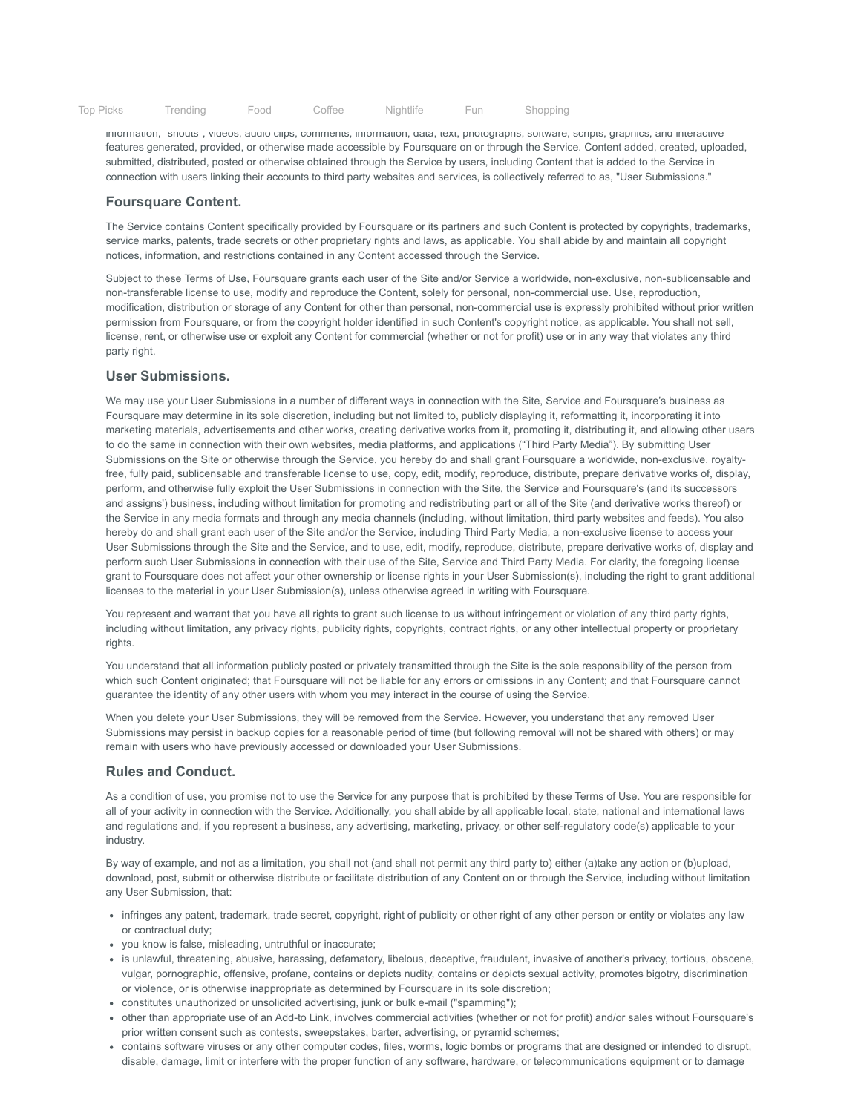Top Picks Trending Food Coffee [Nightlife](https://foursquare.com/explore?cat=drinks) Fun Shopping

icle is you used the Service is at your own responsible is at your product and you will be [solel](https://foursquare.com/explore?cat=arts)y [responsible](https://foursquare.com/explore?cat=shops) i

or any other party results of the terms of the terms of the term includes, with the term  $\frac{1}{\sqrt{N}}$ 

information, "shouts", videos, audio clips, comments, information, data, text, photographs, software, scripts, graphics, and interactive features generated, provided, or otherwise made accessible by Foursquare on or through the Service. Content added, created, uploaded, submitted, distributed, posted or otherwise obtained through the Service by users, including Content that is added to the Service in connection with users linking their accounts to third party websites and services, is collectively referred to as, "User Submissions."

## Foursquare Content.

The Service contains Content specifically provided by Foursquare or its partners and such Content is protected by copyrights, trademarks, service marks, patents, trade secrets or other proprietary rights and laws, as applicable. You shall abide by and maintain all copyright notices, information, and restrictions contained in any Content accessed through the Service.

Subject to these Terms of Use, Foursquare grants each user of the Site and/or Service a worldwide, non-exclusive, non-sublicensable and non-transferable license to use, modify and reproduce the Content, solely for personal, non-commercial use. Use, reproduction, modification, distribution or storage of any Content for other than personal, non-commercial use is expressly prohibited without prior written permission from Foursquare, or from the copyright holder identified in such Content's copyright notice, as applicable. You shall not sell, license, rent, or otherwise use or exploit any Content for commercial (whether or not for profit) use or in any way that violates any third party right.

# User Submissions.

We may use your User Submissions in a number of different ways in connection with the Site, Service and Foursquare's business as Foursquare may determine in its sole discretion, including but not limited to, publicly displaying it, reformatting it, incorporating it into marketing materials, advertisements and other works, creating derivative works from it, promoting it, distributing it, and allowing other users to do the same in connection with their own websites, media platforms, and applications ("Third Party Media"). By submitting User Submissions on the Site or otherwise through the Service, you hereby do and shall grant Foursquare a worldwide, non-exclusive, royaltyfree, fully paid, sublicensable and transferable license to use, copy, edit, modify, reproduce, distribute, prepare derivative works of, display, perform, and otherwise fully exploit the User Submissions in connection with the Site, the Service and Foursquare's (and its successors and assigns') business, including without limitation for promoting and redistributing part or all of the Site (and derivative works thereof) or the Service in any media formats and through any media channels (including, without limitation, third party websites and feeds). You also hereby do and shall grant each user of the Site and/or the Service, including Third Party Media, a non-exclusive license to access your User Submissions through the Site and the Service, and to use, edit, modify, reproduce, distribute, prepare derivative works of, display and perform such User Submissions in connection with their use of the Site, Service and Third Party Media. For clarity, the foregoing license grant to Foursquare does not affect your other ownership or license rights in your User Submission(s), including the right to grant additional licenses to the material in your User Submission(s), unless otherwise agreed in writing with Foursquare.

You represent and warrant that you have all rights to grant such license to us without infringement or violation of any third party rights, including without limitation, any privacy rights, publicity rights, copyrights, contract rights, or any other intellectual property or proprietary rights.

You understand that all information publicly posted or privately transmitted through the Site is the sole responsibility of the person from which such Content originated; that Foursquare will not be liable for any errors or omissions in any Content; and that Foursquare cannot guarantee the identity of any other users with whom you may interact in the course of using the Service.

When you delete your User Submissions, they will be removed from the Service. However, you understand that any removed User Submissions may persist in backup copies for a reasonable period of time (but following removal will not be shared with others) or may remain with users who have previously accessed or downloaded your User Submissions.

# Rules and Conduct.

As a condition of use, you promise not to use the Service for any purpose that is prohibited by these Terms of Use. You are responsible for all of your activity in connection with the Service. Additionally, you shall abide by all applicable local, state, national and international laws and regulations and, if you represent a business, any advertising, marketing, privacy, or other self-regulatory code(s) applicable to your industry.

By way of example, and not as a limitation, you shall not (and shall not permit any third party to) either (a)take any action or (b)upload, download, post, submit or otherwise distribute or facilitate distribution of any Content on or through the Service, including without limitation any User Submission, that:

- infringes any patent, trademark, trade secret, copyright, right of publicity or other right of any other person or entity or violates any law or contractual duty;
- you know is false, misleading, untruthful or inaccurate;
- is unlawful, threatening, abusive, harassing, defamatory, libelous, deceptive, fraudulent, invasive of another's privacy, tortious, obscene, vulgar, pornographic, offensive, profane, contains or depicts nudity, contains or depicts sexual activity, promotes bigotry, discrimination or violence, or is otherwise inappropriate as determined by Foursquare in its sole discretion;
- constitutes unauthorized or unsolicited advertising, junk or bulk e-mail ("spamming");
- other than appropriate use of an Add-to Link, involves commercial activities (whether or not for profit) and/or sales without Foursquare's prior written consent such as contests, sweepstakes, barter, advertising, or pyramid schemes;
- contains software viruses or any other computer codes, files, worms, logic bombs or programs that are designed or intended to disrupt, disable, damage, limit or interfere with the proper function of any software, hardware, or telecommunications equipment or to damage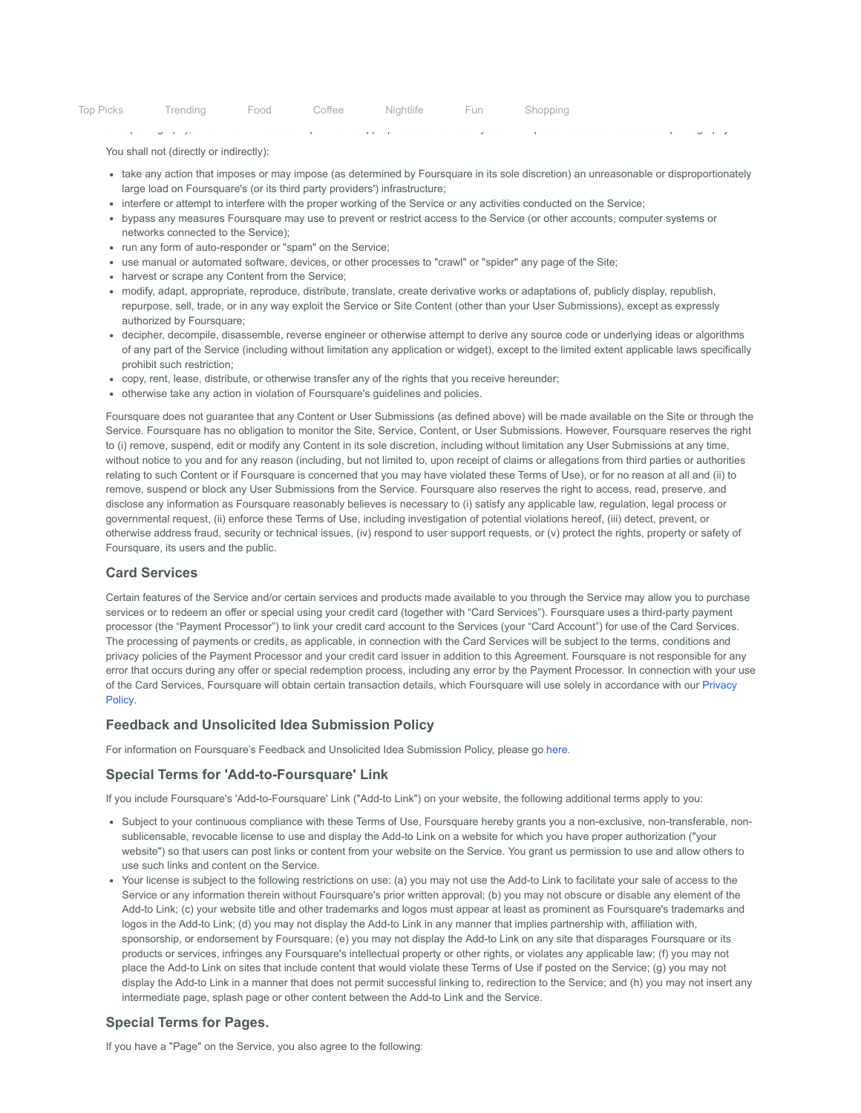|  |  |  |  |  | Top Picks Trending Food Coffee Nightlife Fun Shopping |  |  |
|--|--|--|--|--|-------------------------------------------------------|--|--|
|--|--|--|--|--|-------------------------------------------------------|--|--|

You shall not (directly or indirectly):

take any action that imposes or may impose (as determined by Foursquare in its sole discretion) an unreasonable or disproportionately large load on Foursquare's (or its third party providers') infrastructure;

child pornography, and will terminate and report to the appropriate authorities any user who publishes or distributes child pornography.

- interfere or attempt to interfere with the proper working of the Service or any activities conducted on the Service;
- bypass any measures Foursquare may use to prevent or restrict access to the Service (or other accounts, computer systems or networks connected to the Service);
- run any form of auto-responder or "spam" on the Service;
- use manual or automated software, devices, or other processes to "crawl" or "spider" any page of the Site;
- harvest or scrape any Content from the Service:
- modify, adapt, appropriate, reproduce, distribute, translate, create derivative works or adaptations of, publicly display, republish, repurpose, sell, trade, or in any way exploit the Service or Site Content (other than your User Submissions), except as expressly authorized by Foursquare;
- decipher, decompile, disassemble, reverse engineer or otherwise attempt to derive any source code or underlying ideas or algorithms of any part of the Service (including without limitation any application or widget), except to the limited extent applicable laws specifically prohibit such restriction;
- copy, rent, lease, distribute, or otherwise transfer any of the rights that you receive hereunder;
- otherwise take any action in violation of Foursquare's guidelines and policies.

Foursquare does not guarantee that any Content or User Submissions (as defined above) will be made available on the Site or through the Service. Foursquare has no obligation to monitor the Site, Service, Content, or User Submissions. However, Foursquare reserves the right to (i) remove, suspend, edit or modify any Content in its sole discretion, including without limitation any User Submissions at any time, without notice to you and for any reason (including, but not limited to, upon receipt of claims or allegations from third parties or authorities relating to such Content or if Foursquare is concerned that you may have violated these Terms of Use), or for no reason at all and (ii) to remove, suspend or block any User Submissions from the Service. Foursquare also reserves the right to access, read, preserve, and disclose any information as Foursquare reasonably believes is necessary to (i) satisfy any applicable law, regulation, legal process or governmental request, (ii) enforce these Terms of Use, including investigation of potential violations hereof, (iii) detect, prevent, or otherwise address fraud, security or technical issues, (iv) respond to user support requests, or (v) protect the rights, property or safety of Foursquare, its users and the public.

# Card Services

Certain features of the Service and/or certain services and products made available to you through the Service may allow you to purchase services or to redeem an offer or special using your credit card (together with "Card Services"). Foursquare uses a third-party payment processor (the "Payment Processor") to link your credit card account to the Services (your "Card Account") for use of the Card Services. The processing of payments or credits, as applicable, in connection with the Card Services will be subject to the terms, conditions and privacy policies of the Payment Processor and your credit card issuer in addition to this Agreement. Foursquare is not responsible for any error that occurs during any offer or special redemption process, including any error by the Payment Processor. In connection with your use of the Card Services, Foursquare will obtain certain transaction details, which Foursquare will use solely in [accordance](https://foursquare.com/legal/privacy) with our Privacy Policy.

#### Feedback and Unsolicited Idea Submission Policy

For information on Foursquare's Feedback and Unsolicited Idea Submission Policy, please go [here.](https://foursquare.com/legal/ideas)

#### Special Terms for 'Add-to-Foursquare' Link

If you include Foursquare's 'Add-to-Foursquare' Link ("Add-to Link") on your website, the following additional terms apply to you:

- Subject to your continuous compliance with these Terms of Use, Foursquare hereby grants you a non-exclusive, non-transferable, nonsublicensable, revocable license to use and display the Add-to Link on a website for which you have proper authorization ("your website") so that users can post links or content from your website on the Service. You grant us permission to use and allow others to use such links and content on the Service.
- Your license is subject to the following restrictions on use: (a) you may not use the Add-to Link to facilitate your sale of access to the Service or any information therein without Foursquare's prior written approval; (b) you may not obscure or disable any element of the Add-to Link; (c) your website title and other trademarks and logos must appear at least as prominent as Foursquare's trademarks and logos in the Add-to Link; (d) you may not display the Add-to Link in any manner that implies partnership with, affiliation with, sponsorship, or endorsement by Foursquare; (e) you may not display the Add-to Link on any site that disparages Foursquare or its products or services, infringes any Foursquare's intellectual property or other rights, or violates any applicable law; (f) you may not place the Add-to Link on sites that include content that would violate these Terms of Use if posted on the Service; (g) you may not display the Add-to Link in a manner that does not permit successful linking to, redirection to the Service; and (h) you may not insert any intermediate page, splash page or other content between the Add-to Link and the Service.

# Special Terms for Pages.

If you have a "Page" on the Service, you also agree to the following: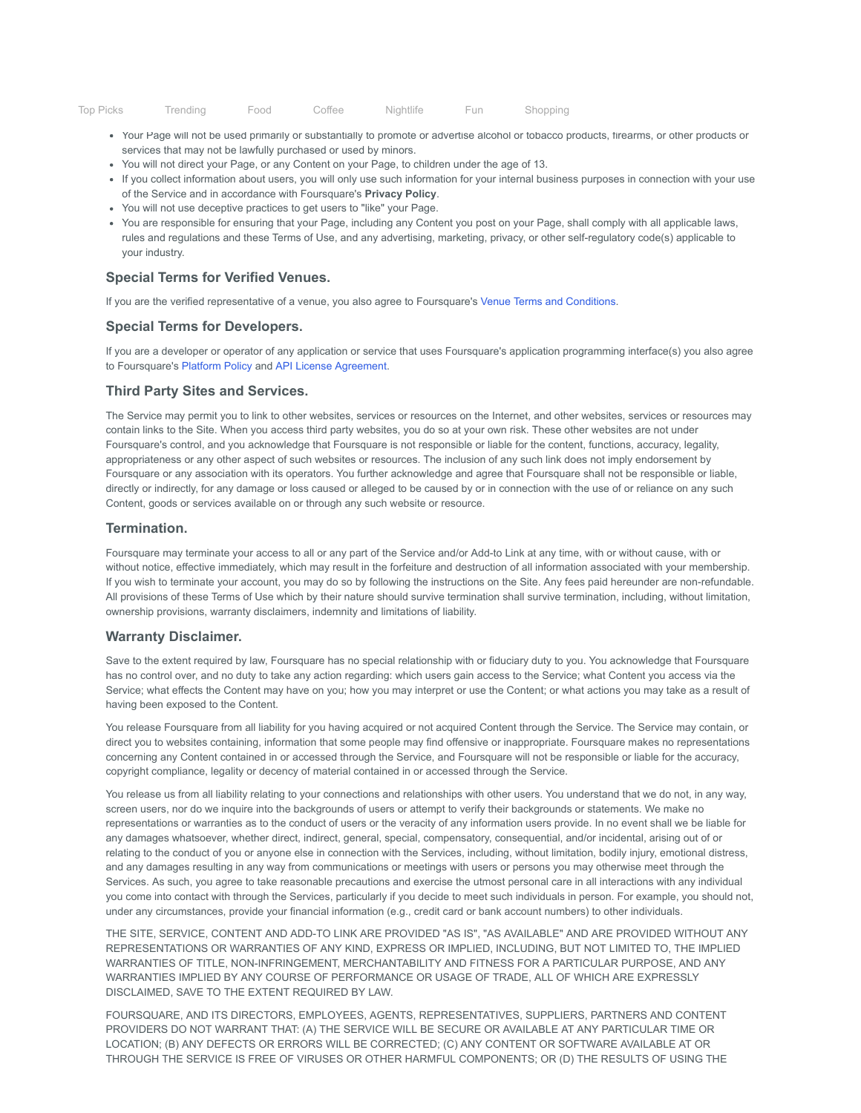You may not display any matrice of the [constru](https://foursquare.com/explore?cat=arts)ction of the countries of the construction of the construction of the construction of the countries and a shape construction as a shape construction of the countries of the con Top [Picks](https://foursquare.com/explore?cat=topPicks) [Trending](https://foursquare.com/explore?cat=trending) Food [Coffee](https://foursquare.com/explore?cat=coffee) [Nightlife](https://foursquare.com/explore?cat=drinks) Fun [Shopping](https://foursquare.com/explore?cat=shops)

- Your Page will not be used primarily or substantially to promote or advertise alcohol or tobacco products, firearms, or other products or services that may not be lawfully purchased or used by minors.
- You will not direct your Page, or any Content on your Page, to children under the age of 13.
- If you collect information about users, you will only use such information for your internal business purposes in connection with your use of the Service and in accordance with Foursquare's Privacy Policy.
- You will not use deceptive practices to get users to "like" your Page.
- You are responsible for ensuring that your Page, including any Content you post on your Page, shall comply with all applicable laws, rules and regulations and these Terms of Use, and any advertising, marketing, privacy, or other self-regulatory code(s) applicable to your industry.

# Special Terms for Verified Venues.

If you are the verified representative of a venue, you also agree to Foursquare's Venue Terms and [Conditions](https://foursquare.com/legal/venueterms).

#### Special Terms for Developers.

If you are a developer or operator of any application or service that uses Foursquare's application programming interface(s) you also agree to Foursquare's [Platform](https://foursquare.com/legal/api/platformpolicy) Policy and API License [Agreement](https://foursquare.com/legal/api/licenseagreement).

#### Third Party Sites and Services.

The Service may permit you to link to other websites, services or resources on the Internet, and other websites, services or resources may contain links to the Site. When you access third party websites, you do so at your own risk. These other websites are not under Foursquare's control, and you acknowledge that Foursquare is not responsible or liable for the content, functions, accuracy, legality, appropriateness or any other aspect of such websites or resources. The inclusion of any such link does not imply endorsement by Foursquare or any association with its operators. You further acknowledge and agree that Foursquare shall not be responsible or liable, directly or indirectly, for any damage or loss caused or alleged to be caused by or in connection with the use of or reliance on any such Content, goods or services available on or through any such website or resource.

#### Termination.

Foursquare may terminate your access to all or any part of the Service and/or Add-to Link at any time, with or without cause, with or without notice, effective immediately, which may result in the forfeiture and destruction of all information associated with your membership. If you wish to terminate your account, you may do so by following the instructions on the Site. Any fees paid hereunder are non-refundable. All provisions of these Terms of Use which by their nature should survive termination shall survive termination, including, without limitation, ownership provisions, warranty disclaimers, indemnity and limitations of liability.

### Warranty Disclaimer.

Save to the extent required by law, Foursquare has no special relationship with or fiduciary duty to you. You acknowledge that Foursquare has no control over, and no duty to take any action regarding: which users gain access to the Service; what Content you access via the Service; what effects the Content may have on you; how you may interpret or use the Content; or what actions you may take as a result of having been exposed to the Content.

You release Foursquare from all liability for you having acquired or not acquired Content through the Service. The Service may contain, or direct you to websites containing, information that some people may find offensive or inappropriate. Foursquare makes no representations concerning any Content contained in or accessed through the Service, and Foursquare will not be responsible or liable for the accuracy, copyright compliance, legality or decency of material contained in or accessed through the Service.

You release us from all liability relating to your connections and relationships with other users. You understand that we do not, in any way, screen users, nor do we inquire into the backgrounds of users or attempt to verify their backgrounds or statements. We make no representations or warranties as to the conduct of users or the veracity of any information users provide. In no event shall we be liable for any damages whatsoever, whether direct, indirect, general, special, compensatory, consequential, and/or incidental, arising out of or relating to the conduct of you or anyone else in connection with the Services, including, without limitation, bodily injury, emotional distress, and any damages resulting in any way from communications or meetings with users or persons you may otherwise meet through the Services. As such, you agree to take reasonable precautions and exercise the utmost personal care in all interactions with any individual you come into contact with through the Services, particularly if you decide to meet such individuals in person. For example, you should not, under any circumstances, provide your financial information (e.g., credit card or bank account numbers) to other individuals.

THE SITE, SERVICE, CONTENT AND ADD-TO LINK ARE PROVIDED "AS IS", "AS AVAILABLE" AND ARE PROVIDED WITHOUT ANY REPRESENTATIONS OR WARRANTIES OF ANY KIND, EXPRESS OR IMPLIED, INCLUDING, BUT NOT LIMITED TO, THE IMPLIED WARRANTIES OF TITLE, NON-INFRINGEMENT, MERCHANTABILITY AND FITNESS FOR A PARTICULAR PURPOSE, AND ANY WARRANTIES IMPLIED BY ANY COURSE OF PERFORMANCE OR USAGE OF TRADE, ALL OF WHICH ARE EXPRESSLY DISCLAIMED, SAVE TO THE EXTENT REQUIRED BY LAW.

FOURSQUARE, AND ITS DIRECTORS, EMPLOYEES, AGENTS, REPRESENTATIVES, SUPPLIERS, PARTNERS AND CONTENT PROVIDERS DO NOT WARRANT THAT: (A) THE SERVICE WILL BE SECURE OR AVAILABLE AT ANY PARTICULAR TIME OR LOCATION; (B) ANY DEFECTS OR ERRORS WILL BE CORRECTED; (C) ANY CONTENT OR SOFTWARE AVAILABLE AT OR THROUGH THE SERVICE IS FREE OF VIRUSES OR OTHER HARMFUL COMPONENTS; OR (D) THE RESULTS OF USING THE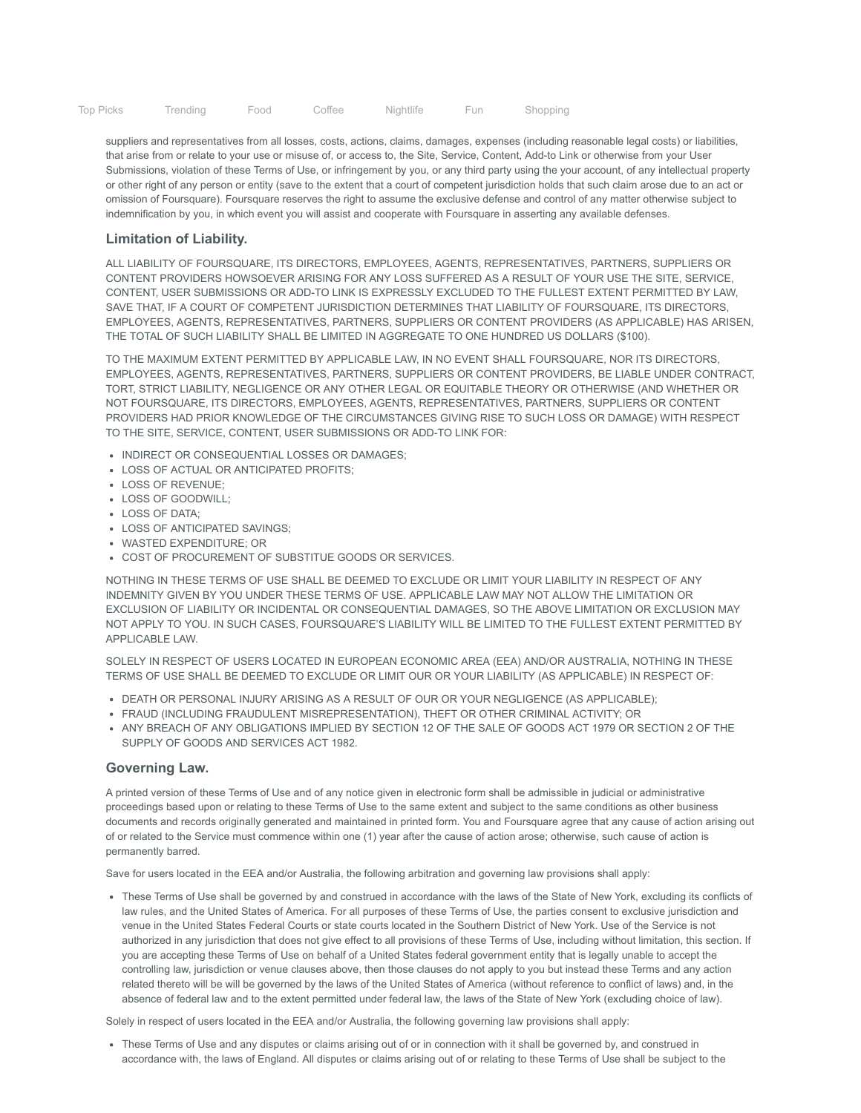| Top Picks | Trendina | Food | Coffee | Nightlife | Fun | Shopping |
|-----------|----------|------|--------|-----------|-----|----------|

suppliers and representatives from all losses, costs, actions, claims, damages, expenses (including reasonable legal costs) or liabilities, that arise from or relate to your use or misuse of, or access to, the Site, Service, Content, Add-to Link or otherwise from your User Submissions, violation of these Terms of Use, or infringement by you, or any third party using the your account, of any intellectual property or other right of any person or entity (save to the extent that a court of competent jurisdiction holds that such claim arose due to an act or omission of Foursquare). Foursquare reserves the right to assume the exclusive defense and control of any matter otherwise subject to indemnification by you, in which event you will assist and cooperate with Foursquare in asserting any available defenses.

# Limitation of Liability.

ALL LIABILITY OF FOURSQUARE, ITS DIRECTORS, EMPLOYEES, AGENTS, REPRESENTATIVES, PARTNERS, SUPPLIERS OR CONTENT PROVIDERS HOWSOEVER ARISING FOR ANY LOSS SUFFERED AS A RESULT OF YOUR USE THE SITE, SERVICE, CONTENT, USER SUBMISSIONS OR ADD-TO LINK IS EXPRESSLY EXCLUDED TO THE FULLEST EXTENT PERMITTED BY LAW, SAVE THAT, IF A COURT OF COMPETENT JURISDICTION DETERMINES THAT LIABILITY OF FOURSQUARE, ITS DIRECTORS, EMPLOYEES, AGENTS, REPRESENTATIVES, PARTNERS, SUPPLIERS OR CONTENT PROVIDERS (AS APPLICABLE) HAS ARISEN, THE TOTAL OF SUCH LIABILITY SHALL BE LIMITED IN AGGREGATE TO ONE HUNDRED US DOLLARS (\$100).

TO THE MAXIMUM EXTENT PERMITTED BY APPLICABLE LAW, IN NO EVENT SHALL FOURSQUARE, NOR ITS DIRECTORS, EMPLOYEES, AGENTS, REPRESENTATIVES, PARTNERS, SUPPLIERS OR CONTENT PROVIDERS, BE LIABLE UNDER CONTRACT, TORT, STRICT LIABILITY, NEGLIGENCE OR ANY OTHER LEGAL OR EQUITABLE THEORY OR OTHERWISE (AND WHETHER OR NOT FOURSQUARE, ITS DIRECTORS, EMPLOYEES, AGENTS, REPRESENTATIVES, PARTNERS, SUPPLIERS OR CONTENT PROVIDERS HAD PRIOR KNOWLEDGE OF THE CIRCUMSTANCES GIVING RISE TO SUCH LOSS OR DAMAGE) WITH RESPECT TO THE SITE, SERVICE, CONTENT, USER SUBMISSIONS OR ADD-TO LINK FOR:

- INDIRECT OR CONSEQUENTIAL LOSSES OR DAMAGES;
- LOSS OF ACTUAL OR ANTICIPATED PROFITS;
- $\cdot$  LOSS OF REVENUE:
- $\cdot$  LOSS OF GOODWILL;
- $\bullet$  LOSS OF DATA:
- **.** LOSS OF ANTICIPATED SAVINGS:
- WASTED EXPENDITURE; OR
- COST OF PROCUREMENT OF SUBSTITUE GOODS OR SERVICES.

NOTHING IN THESE TERMS OF USE SHALL BE DEEMED TO EXCLUDE OR LIMIT YOUR LIABILITY IN RESPECT OF ANY INDEMNITY GIVEN BY YOU UNDER THESE TERMS OF USE. APPLICABLE LAW MAY NOT ALLOW THE LIMITATION OR EXCLUSION OF LIABILITY OR INCIDENTAL OR CONSEQUENTIAL DAMAGES, SO THE ABOVE LIMITATION OR EXCLUSION MAY NOT APPLY TO YOU. IN SUCH CASES, FOURSQUARE'S LIABILITY WILL BE LIMITED TO THE FULLEST EXTENT PERMITTED BY APPLICABLE LAW.

SOLELY IN RESPECT OF USERS LOCATED IN EUROPEAN ECONOMIC AREA (EEA) AND/OR AUSTRALIA, NOTHING IN THESE TERMS OF USE SHALL BE DEEMED TO EXCLUDE OR LIMIT OUR OR YOUR LIABILITY (AS APPLICABLE) IN RESPECT OF:

- . DEATH OR PERSONAL INJURY ARISING AS A RESULT OF OUR OR YOUR NEGLIGENCE (AS APPLICABLE);
- FRAUD (INCLUDING FRAUDULENT MISREPRESENTATION), THEFT OR OTHER CRIMINAL ACTIVITY; OR
- ANY BREACH OF ANY OBLIGATIONS IMPLIED BY SECTION 12 OF THE SALE OF GOODS ACT 1979 OR SECTION 2 OF THE SUPPLY OF GOODS AND SERVICES ACT 1982.

#### Governing Law.

A printed version of these Terms of Use and of any notice given in electronic form shall be admissible in judicial or administrative proceedings based upon or relating to these Terms of Use to the same extent and subject to the same conditions as other business documents and records originally generated and maintained in printed form. You and Foursquare agree that any cause of action arising out of or related to the Service must commence within one (1) year after the cause of action arose; otherwise, such cause of action is permanently barred.

Save for users located in the EEA and/or Australia, the following arbitration and governing law provisions shall apply:

These Terms of Use shall be governed by and construed in accordance with the laws of the State of New York, excluding its conflicts of law rules, and the United States of America. For all purposes of these Terms of Use, the parties consent to exclusive jurisdiction and venue in the United States Federal Courts or state courts located in the Southern District of New York. Use of the Service is not authorized in any jurisdiction that does not give effect to all provisions of these Terms of Use, including without limitation, this section. If you are accepting these Terms of Use on behalf of a United States federal government entity that is legally unable to accept the controlling law, jurisdiction or venue clauses above, then those clauses do not apply to you but instead these Terms and any action related thereto will be will be governed by the laws of the United States of America (without reference to conflict of laws) and, in the absence of federal law and to the extent permitted under federal law, the laws of the State of New York (excluding choice of law).

Solely in respect of users located in the EEA and/or Australia, the following governing law provisions shall apply:

These Terms of Use and any disputes or claims arising out of or in connection with it shall be governed by, and construed in accordance with, the laws of England. All disputes or claims arising out of or relating to these Terms of Use shall be subject to the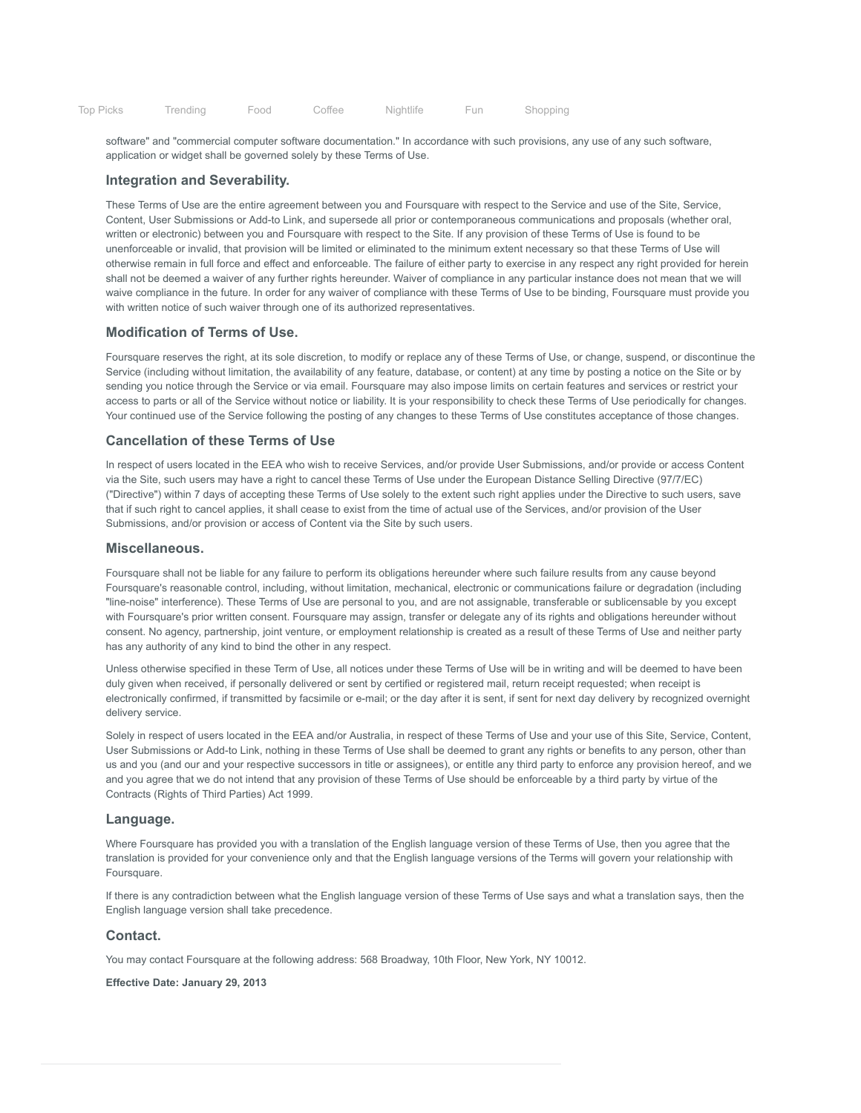| Top Picks |  |  |  | Trending Food Coffee Nightlife Fun S |  | Shopping |  |
|-----------|--|--|--|--------------------------------------|--|----------|--|
|-----------|--|--|--|--------------------------------------|--|----------|--|

software" and "commercial computer software documentation." In accordance with such provisions, any use of any such software, application or widget shall be governed solely by these Terms of Use.

#### Integration and Severability.

These Terms of Use are the entire agreement between you and Foursquare with respect to the Service and use of the Site, Service, Content, User Submissions or Add-to Link, and supersede all prior or contemporaneous communications and proposals (whether oral, written or electronic) between you and Foursquare with respect to the Site. If any provision of these Terms of Use is found to be unenforceable or invalid, that provision will be limited or eliminated to the minimum extent necessary so that these Terms of Use will otherwise remain in full force and effect and enforceable. The failure of either party to exercise in any respect any right provided for herein shall not be deemed a waiver of any further rights hereunder. Waiver of compliance in any particular instance does not mean that we will waive compliance in the future. In order for any waiver of compliance with these Terms of Use to be binding, Foursquare must provide you with written notice of such waiver through one of its authorized representatives.

#### Modification of Terms of Use.

Foursquare reserves the right, at its sole discretion, to modify or replace any of these Terms of Use, or change, suspend, or discontinue the Service (including without limitation, the availability of any feature, database, or content) at any time by posting a notice on the Site or by sending you notice through the Service or via email. Foursquare may also impose limits on certain features and services or restrict your access to parts or all of the Service without notice or liability. It is your responsibility to check these Terms of Use periodically for changes. Your continued use of the Service following the posting of any changes to these Terms of Use constitutes acceptance of those changes.

#### Cancellation of these Terms of Use

In respect of users located in the EEA who wish to receive Services, and/or provide User Submissions, and/or provide or access Content via the Site, such users may have a right to cancel these Terms of Use under the European Distance Selling Directive (97/7/EC) ("Directive") within 7 days of accepting these Terms of Use solely to the extent such right applies under the Directive to such users, save that if such right to cancel applies, it shall cease to exist from the time of actual use of the Services, and/or provision of the User Submissions, and/or provision or access of Content via the Site by such users.

#### Miscellaneous.

Foursquare shall not be liable for any failure to perform its obligations hereunder where such failure results from any cause beyond Foursquare's reasonable control, including, without limitation, mechanical, electronic or communications failure or degradation (including "line-noise" interference). These Terms of Use are personal to you, and are not assignable, transferable or sublicensable by you except with Foursquare's prior written consent. Foursquare may assign, transfer or delegate any of its rights and obligations hereunder without consent. No agency, partnership, joint venture, or employment relationship is created as a result of these Terms of Use and neither party has any authority of any kind to bind the other in any respect.

Unless otherwise specified in these Term of Use, all notices under these Terms of Use will be in writing and will be deemed to have been duly given when received, if personally delivered or sent by certified or registered mail, return receipt requested; when receipt is electronically confirmed, if transmitted by facsimile or e-mail; or the day after it is sent, if sent for next day delivery by recognized overnight delivery service.

Solely in respect of users located in the EEA and/or Australia, in respect of these Terms of Use and your use of this Site, Service, Content, User Submissions or Add-to Link, nothing in these Terms of Use shall be deemed to grant any rights or benefits to any person, other than us and you (and our and your respective successors in title or assignees), or entitle any third party to enforce any provision hereof, and we and you agree that we do not intend that any provision of these Terms of Use should be enforceable by a third party by virtue of the Contracts (Rights of Third Parties) Act 1999.

#### Language.

Where Foursquare has provided you with a translation of the English language version of these Terms of Use, then you agree that the translation is provided for your convenience only and that the English language versions of the Terms will govern your relationship with Foursquare.

If there is any contradiction between what the English language version of these Terms of Use says and what a translation says, then the English language version shall take precedence.

#### Contact.

You may contact Foursquare at the following address: 568 Broadway, 10th Floor, New York, NY 10012.

Effective Date: January 29, 2013